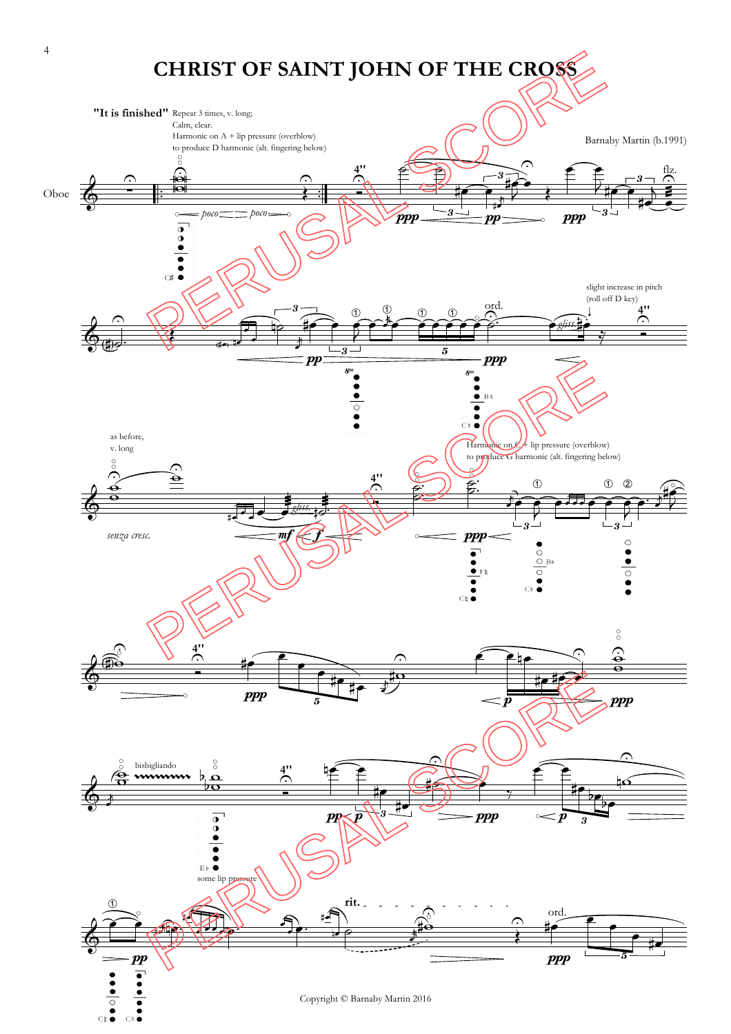

 $\overline{C}$  k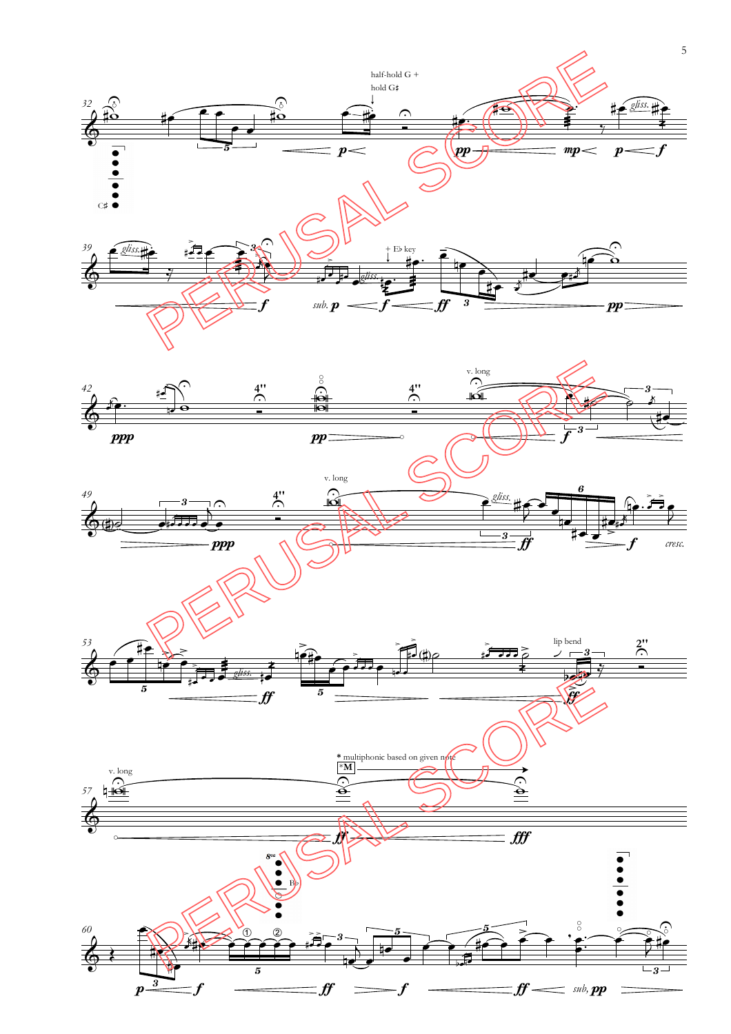

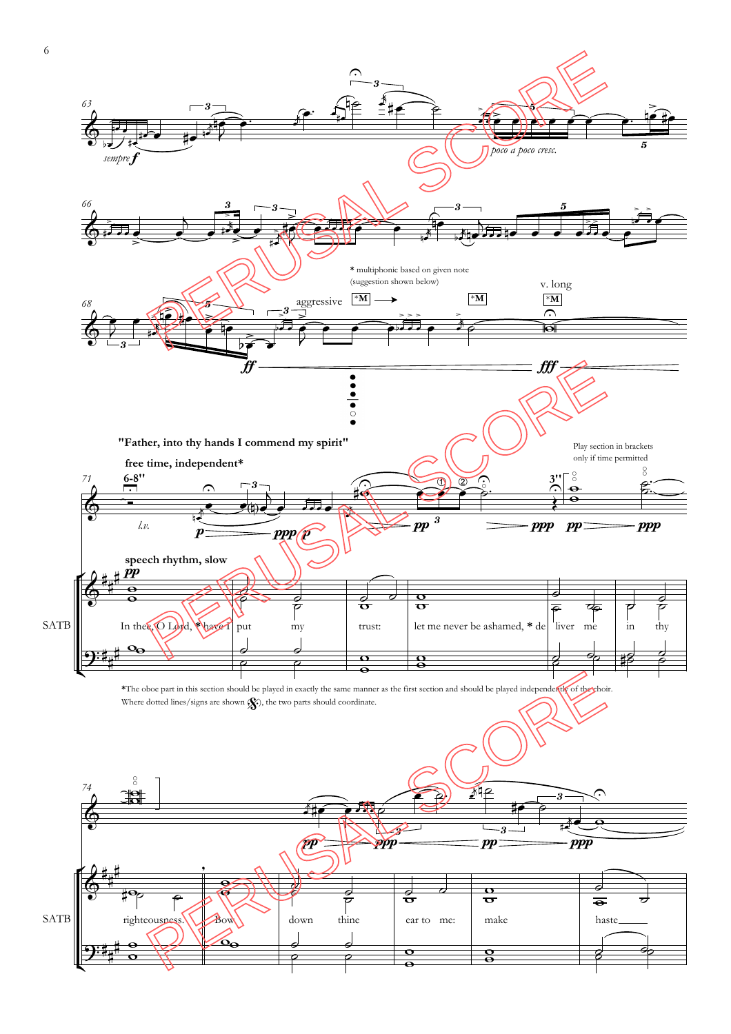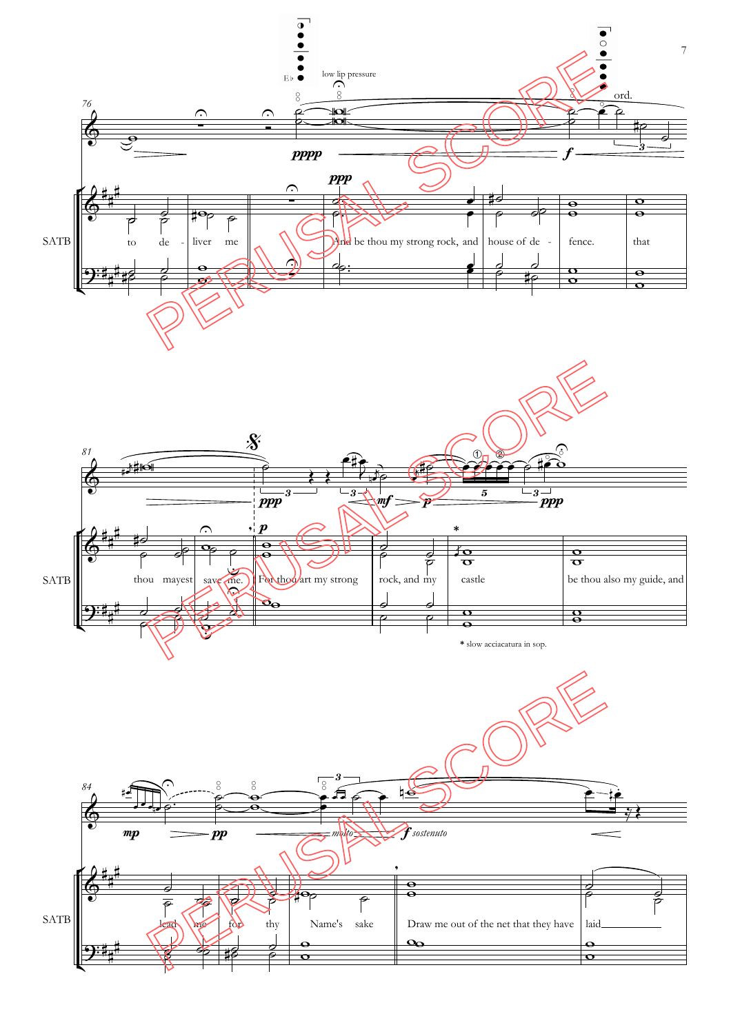